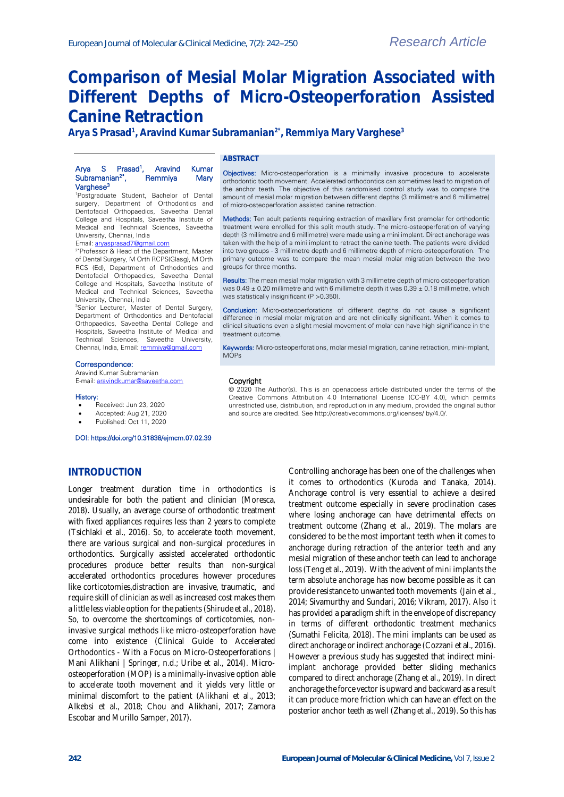# **Comparison of Mesial Molar Migration Associated with Different Depths of Micro-Osteoperforation Assisted Canine Retraction**

of micro-osteoperforation assisted canine retraction.

**Arya S Prasad<sup>1</sup> , Aravind Kumar Subramanian2\*, Remmiya Mary Varghese<sup>3</sup>**

#### **ABSTRACT**

Copyright

MOPs

treatment outcome.

groups for three months.

was statistically insignificant (P > 0.350).

#### Arya S Prasad<sup>1</sup>, Aravind Kumar<br>Remmiya Mary Subramanian2\*, Remmiya Mary Varghese<sup>3</sup>

<sup>1</sup>Postgraduate Student, Bachelor of Dental surgery, Department of Orthodontics and Dentofacial Orthopaedics, Saveetha Dental College and Hospitals, Saveetha Institute of Medical and Technical Sciences, Saveetha University, Chennai, India

Email[: aryasprasad7@gmail.com](mailto:aryasprasad7@gmail.com)

2\*Professor & Head of the Department, Master of Dental Surgery, M Orth RCPS(Glasg), M Orth RCS (Ed), Department of Orthodontics and Dentofacial Orthopaedics, Saveetha Dental College and Hospitals, Saveetha Institute of Medical and Technical Sciences, Saveetha University, Chennai, India

<sup>3</sup>Senior Lecturer, Master of Dental Surgery, Department of Orthodontics and Dentofacial Orthopaedics, Saveetha Dental College and Hospitals, Saveetha Institute of Medical and Technical Sciences, Saveetha University, Chennai, India, Email[: remmiya@gmail.com](mailto:remmiya@gmail.com)

#### Correspondence:

Aravind Kumar Subramanian E-mail[: aravindkumar@saveetha.com](mailto:aravindkumar@saveetha.com)

#### History:

- Received: Jun 23, 2020
- Accepted: Aug 21, 2020
- Published: Oct 11, 2020

#### DOI: https://doi.org/10.31838/ejmcm.07.02.39

#### **INTRODUCTION**

Longer treatment duration time in orthodontics is undesirable for both the patient and clinician [\(Moresca,](https://paperpile.com/c/9H8rM9/AaCf)  [2018\).](https://paperpile.com/c/9H8rM9/AaCf) Usually, an average course of orthodontic treatment with fixed appliances requires less than 2 years to complete [\(Tsichlaki et al., 2016\).](https://paperpile.com/c/9H8rM9/e8Jg) So, to accelerate tooth movement, there are various surgical and non-surgical procedures in orthodontics. Surgically assisted accelerated orthodontic procedures produce better results than non-surgical accelerated orthodontics procedures however procedures like corticotomies,distraction are invasive, traumatic, and require skill of clinician as well as increased cost makes them a little less viable option for the patient[s \(Shirude et al., 2018\).](https://paperpile.com/c/9H8rM9/Gn1N)  So, to overcome the shortcomings of corticotomies, noninvasive surgical methods like micro-osteoperforation have come into existence [\(Clinical Guide to Accelerated](https://paperpile.com/c/9H8rM9/S10s+5uid)  Orthodontics - [With a Focus on Micro-Osteoperforations |](https://paperpile.com/c/9H8rM9/S10s+5uid)  [Mani Alikhani | Springer, n.d.; Uribe et al., 2014\).](https://paperpile.com/c/9H8rM9/S10s+5uid) Microosteoperforation (MOP) is a minimally-invasive option able to accelerate tooth movement and it yields very little or minimal discomfort to the patient [\(Alikhani et al., 2013;](https://paperpile.com/c/9H8rM9/XdF0+LS42+uDHU+Il5q)  [Alkebsi et al., 2018; Chou and Alikhani, 2017; Zamora](https://paperpile.com/c/9H8rM9/XdF0+LS42+uDHU+Il5q)  [Escobar and Murillo Samper, 2017\).](https://paperpile.com/c/9H8rM9/XdF0+LS42+uDHU+Il5q)

Controlling anchorage has been one of the challenges when it comes to orthodontics [\(Kuroda and Tanaka, 2014\).](https://paperpile.com/c/9H8rM9/iXe9)  Anchorage control is very essential to achieve a desired treatment outcome especially in severe proclination cases where losing anchorage can have detrimental effects on treatment outcome [\(Zhang et al., 2019\).](https://paperpile.com/c/9H8rM9/cHY6) The molars are considered to be the most important teeth when it comes to anchorage during retraction of the anterior teeth and any mesial migration of these anchor teeth can lead to anchorage los[s \(Teng et al., 2019\).](https://paperpile.com/c/9H8rM9/HhO7) With the advent of mini implants the term absolute anchorage has now become possible as it can provide resistance to unwanted tooth movements [\(Jain et al.,](https://paperpile.com/c/9H8rM9/pOb8+4VnL+i5ec)  [2014; Sivamurthy and Sundari, 2016; Vikram, 2017\).](https://paperpile.com/c/9H8rM9/pOb8+4VnL+i5ec) Also it has provided a paradigm shift in the envelope of discrepancy in terms of different orthodontic treatment mechanics [\(Sumathi Felicita, 2018\).](https://paperpile.com/c/9H8rM9/IG07) The mini implants can be used as direct anchorage or indirect anchorag[e \(Cozzani et al., 2016\).](https://paperpile.com/c/9H8rM9/4IZI)  However a previous study has suggested that indirect miniimplant anchorage provided better sliding mechanics compared to direct anchorag[e \(Zhang et al., 2019\).](https://paperpile.com/c/9H8rM9/cHY6) In direct anchorage the force vector is upward and backward as a result it can produce more friction which can have an effect on the posterior anchor teeth as wel[l \(Zhang et al., 2019\).](https://paperpile.com/c/9H8rM9/cHY6) So this has

© 2020 The Author(s). This is an openaccess article distributed under the terms of the Creative Commons Attribution 4.0 International License (CC-BY 4.0), which permits unrestricted use, distribution, and reproduction in any medium, provided the original author

Objectives: Micro-osteoperforation is a minimally invasive procedure to accelerate orthodontic tooth movement. Accelerated orthodontics can sometimes lead to migration of the anchor teeth. The objective of this randomised control study was to compare the amount of mesial molar migration between different depths (3 millimetre and 6 millimetre)

Methods: Ten adult patients requiring extraction of maxillary first premolar for orthodontic treatment were enrolled for this split mouth study. The micro-osteoperforation of varying depth (3 millimetre and 6 millimetre) were made using a mini implant. Direct anchorage was taken with the help of a mini implant to retract the canine teeth. The patients were divided into two groups - 3 millimetre depth and 6 millimetre depth of micro-osteoperforation. The primary outcome was to compare the mean mesial molar migration between the two

Results: The mean mesial molar migration with 3 millimetre depth of micro osteoperforation was  $0.49 \pm 0.20$  millimetre and with 6 millimetre depth it was  $0.39 \pm 0.18$  millimetre, which

Conclusion: Micro-osteoperforations of different depths do not cause a significant difference in mesial molar migration and are not clinically significant. When it comes to clinical situations even a slight mesial movement of molar can have high significance in the

Keywords: Micro-osteoperforations, molar mesial migration, canine retraction, mini-implant,

and source are credited. See http://creativecommons.org/licenses/ by/4.0/.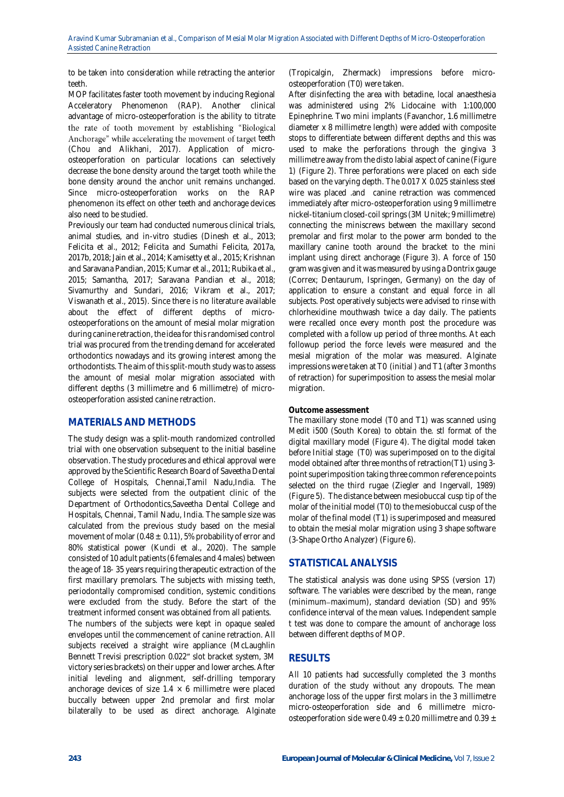to be taken into consideration while retracting the anterior teeth.

MOP facilitates faster tooth movement by inducing Regional Acceleratory Phenomenon (RAP). Another clinical advantage of micro-osteoperforation is the ability to titrate the rate of tooth movement by establishing "Biological Anchorage" while accelerating the movement of target teeth [\(Chou and Alikhani, 2017\).](https://paperpile.com/c/9H8rM9/uDHU) Application of microosteoperforation on particular locations can selectively decrease the bone density around the target tooth while the bone density around the anchor unit remains unchanged. Since micro-osteoperforation works on the RAP phenomenon its effect on other teeth and anchorage devices also need to be studied.

Previously our team had conducted numerous clinical trials, animal studies, and in-vitro studies [\(Dinesh et al., 2013;](https://paperpile.com/c/9H8rM9/eHhi+i5ec+lsgG+7myf+DtRd+4ZdH+M1nX+WXXn+yRla+GWMB+bERo+A9Fy+XFku+pOb8+MBOH)  [Felicita et al., 2012; Felicita and Sumathi Felicita, 2017a,](https://paperpile.com/c/9H8rM9/eHhi+i5ec+lsgG+7myf+DtRd+4ZdH+M1nX+WXXn+yRla+GWMB+bERo+A9Fy+XFku+pOb8+MBOH)  [2017b, 2018; Jain et al., 2014; Kamisetty et al., 2015; Krishnan](https://paperpile.com/c/9H8rM9/eHhi+i5ec+lsgG+7myf+DtRd+4ZdH+M1nX+WXXn+yRla+GWMB+bERo+A9Fy+XFku+pOb8+MBOH)  [and Saravana Pandian, 2015; Kumar et al., 2011; Rubika et al.,](https://paperpile.com/c/9H8rM9/eHhi+i5ec+lsgG+7myf+DtRd+4ZdH+M1nX+WXXn+yRla+GWMB+bERo+A9Fy+XFku+pOb8+MBOH)  [2015; Samantha, 2017; Saravana Pandian et al., 2018;](https://paperpile.com/c/9H8rM9/eHhi+i5ec+lsgG+7myf+DtRd+4ZdH+M1nX+WXXn+yRla+GWMB+bERo+A9Fy+XFku+pOb8+MBOH)  [Sivamurthy and Sundari, 2016; Vikram et al., 2017;](https://paperpile.com/c/9H8rM9/eHhi+i5ec+lsgG+7myf+DtRd+4ZdH+M1nX+WXXn+yRla+GWMB+bERo+A9Fy+XFku+pOb8+MBOH)  [Viswanath et al., 2015\).](https://paperpile.com/c/9H8rM9/eHhi+i5ec+lsgG+7myf+DtRd+4ZdH+M1nX+WXXn+yRla+GWMB+bERo+A9Fy+XFku+pOb8+MBOH) Since there is no literature available about the effect of different depths of microosteoperforations on the amount of mesial molar migration during canine retraction, the idea for this randomised control trial was procured from the trending demand for accelerated orthodontics nowadays and its growing interest among the orthodontists. The aim of this split-mouth study was to assess the amount of mesial molar migration associated with different depths (3 millimetre and 6 millimetre) of microosteoperforation assisted canine retraction.

# **MATERIALS AND METHODS**

The study design was a split-mouth randomized controlled trial with one observation subsequent to the initial baseline observation. The study procedures and ethical approval were approved by the Scientific Research Board of Saveetha Dental College of Hospitals, Chennai,Tamil Nadu,India. The subjects were selected from the outpatient clinic of the Department of Orthodontics,Saveetha Dental College and Hospitals, Chennai, Tamil Nadu, India. The sample size was calculated from the previous study based on the mesial movement of molar (0.48  $\pm$  0.11), 5% probability of error and 80% statistical power [\(Kundi et al., 2020\).](https://paperpile.com/c/9H8rM9/4c12) The sample consisted of 10 adult patients (6 females and 4 males) between the age of 18- 35 years requiring therapeutic extraction of the first maxillary premolars. The subjects with missing teeth, periodontally compromised condition, systemic conditions were excluded from the study. Before the start of the treatment informed consent was obtained from all patients. The numbers of the subjects were kept in opaque sealed envelopes until the commencement of canine retraction. All subjects received a straight wire appliance (McLaughlin Bennett Trevisi prescription 0.022″ slot bracket system, 3M victory series brackets) on their upper and lower arches. After initial leveling and alignment, self-drilling temporary anchorage devices of size  $1.4 \times 6$  millimetre were placed buccally between upper 2nd premolar and first molar bilaterally to be used as direct anchorage. Alginate

(Tropicalgin, Zhermack) impressions before microosteoperforation (T0) were taken.

After disinfecting the area with betadine, local anaesthesia was administered using 2% Lidocaine with 1:100,000 Epinephrine. Two mini implants (Favanchor, 1.6 millimetre diameter x 8 millimetre length) were added with composite stops to differentiate between different depths and this was used to make the perforations through the gingiva 3 millimetre away from the disto labial aspect of canine (Figure 1) (Figure 2). Three perforations were placed on each side based on the varying depth. The 0.017 X 0.025 stainless steel wire was placed .and canine retraction was commenced immediately after micro-osteoperforation using 9 millimetre nickel-titanium closed-coil springs (3M Unitek; 9 millimetre) connecting the miniscrews between the maxillary second premolar and first molar to the power arm bonded to the maxillary canine tooth around the bracket to the mini implant using direct anchorage (Figure 3). A force of 150 gram was given and it was measured by using a Dontrix gauge (Correx; Dentaurum, Ispringen, Germany) on the day of application to ensure a constant and equal force in all subjects. Post operatively subjects were advised to rinse with chlorhexidine mouthwash twice a day daily. The patients were recalled once every month post the procedure was completed with a follow up period of three months. At each followup period the force levels were measured and the mesial migration of the molar was measured. Alginate impressions were taken at T0 (initial ) and T1 (after 3 months of retraction) for superimposition to assess the mesial molar migration.

#### **Outcome assessment**

The maxillary stone model (T0 and T1) was scanned using Medit i500 (South Korea) to obtain the. stl format of the digital maxillary model (Figure 4). The digital model taken before Initial stage (T0) was superimposed on to the digital model obtained after three months of retraction(T1) using 3 point superimposition taking three common reference points selected on the third rugae [\(Ziegler and Ingervall, 1989\)](https://paperpile.com/c/9H8rM9/UNn8) (Figure 5). The distance between mesiobuccal cusp tip of the molar of the initial model (T0) to the mesiobuccal cusp of the molar of the final model (T1) is superimposed and measured to obtain the mesial molar migration using 3 shape software (3-Shape Ortho Analyzer) (Figure 6).

# **STATISTICAL ANALYSIS**

The statistical analysis was done using SPSS (version 17) software. The variables were described by the mean, range (minimum-maximum), standard deviation (SD) and 95% confidence interval of the mean values. Independent sample t test was done to compare the amount of anchorage loss between different depths of MOP.

# **RESULTS**

All 10 patients had successfully completed the 3 months duration of the study without any dropouts. The mean anchorage loss of the upper first molars in the 3 millimetre micro-osteoperforation side and 6 millimetre microosteoperforation side were 0.49  $\pm$  0.20 millimetre and 0.39  $\pm$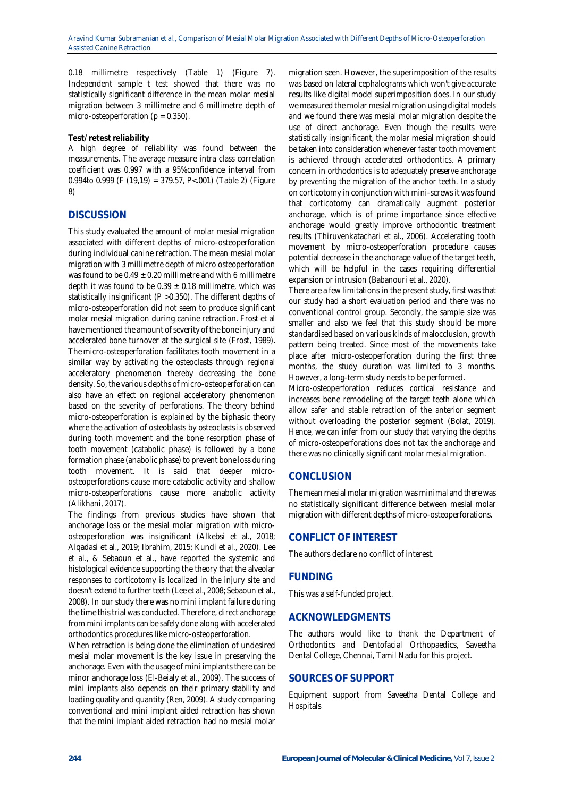0.18 millimetre respectively (Table 1) (Figure 7). Independent sample t test showed that there was no statistically significant difference in the mean molar mesial migration between 3 millimetre and 6 millimetre depth of micro-osteoperforation ( $p = 0.350$ ).

#### **Test/ retest reliability**

A high degree of reliability was found between the measurements. The average measure intra class correlation coefficient was 0.997 with a 95%confidence interval from 0.994to 0.999 (F (19,19) = 379.57, P<.001) (Table 2) (Figure 8)

# **DISCUSSION**

This study evaluated the amount of molar mesial migration associated with different depths of micro-osteoperforation during individual canine retraction. The mean mesial molar migration with 3 millimetre depth of micro osteoperforation was found to be  $0.49 \pm 0.20$  millimetre and with 6 millimetre depth it was found to be  $0.39 \pm 0.18$  millimetre, which was statistically insignificant (P >0.350). The different depths of micro-osteoperforation did not seem to produce significant molar mesial migration during canine retraction. Frost et al have mentioned the amount of severity of the bone injury and accelerated bone turnover at the surgical site [\(Frost, 1989\).](https://paperpile.com/c/9H8rM9/U2ho)  The micro-osteoperforation facilitates tooth movement in a similar way by activating the osteoclasts through regional acceleratory phenomenon thereby decreasing the bone density. So, the various depths of micro-osteoperforation can also have an effect on regional acceleratory phenomenon based on the severity of perforations. The theory behind micro-osteoperforation is explained by the biphasic theory where the activation of osteoblasts by osteoclasts is observed during tooth movement and the bone resorption phase of tooth movement (catabolic phase) is followed by a bone formation phase (anabolic phase) to prevent bone loss during tooth movement. It is said that deeper microosteoperforations cause more catabolic activity and shallow micro-osteoperforations cause more anabolic activity [\(Alikhani, 2017\).](https://paperpile.com/c/9H8rM9/mOnD)

The findings from previous studies have shown that anchorage loss or the mesial molar migration with microosteoperforation was insignificant [\(Alkebsi et al., 2018;](https://paperpile.com/c/9H8rM9/BoZb+XdF0+4c12+c4tp)  [Alqadasi et al., 2019; Ibrahim, 2015; Kundi et al., 2020\).](https://paperpile.com/c/9H8rM9/BoZb+XdF0+4c12+c4tp) Lee et al., & Sebaoun et al., have reported the systemic and histological evidence supporting the theory that the alveolar responses to corticotomy is localized in the injury site and doesn't extend to further teet[h \(Lee et al., 2008; Sebaoun et al.,](https://paperpile.com/c/9H8rM9/Fg8e+3SJ0)  [2008\).](https://paperpile.com/c/9H8rM9/Fg8e+3SJ0) In our study there was no mini implant failure during the time this trial was conducted. Therefore, direct anchorage from mini implants can be safely done along with accelerated orthodontics procedures like micro-osteoperforation.

When retraction is being done the elimination of undesired mesial molar movement is the key issue in preserving the anchorage. Even with the usage of mini implants there can be minor anchorage loss [\(El-Beialy et al., 2009\).](https://paperpile.com/c/9H8rM9/wos7) The success of mini implants also depends on their primary stability and loading quality and quantit[y \(Ren, 2009\).](https://paperpile.com/c/9H8rM9/blUz) A study comparing conventional and mini implant aided retraction has shown that the mini implant aided retraction had no mesial molar

migration seen. However, the superimposition of the results was based on lateral cephalograms which won't give accurate results like digital model superimposition does. In our study we measured the molar mesial migration using digital models and we found there was mesial molar migration despite the use of direct anchorage. Even though the results were statistically insignificant, the molar mesial migration should be taken into consideration whenever faster tooth movement is achieved through accelerated orthodontics. A primary concern in orthodontics is to adequately preserve anchorage by preventing the migration of the anchor teeth. In a study on corticotomy in conjunction with mini-screws it was found that corticotomy can dramatically augment posterior anchorage, which is of prime importance since effective anchorage would greatly improve orthodontic treatment results [\(Thiruvenkatachari et al., 2006\).](https://paperpile.com/c/9H8rM9/nm3K) Accelerating tooth movement by micro-osteoperforation procedure causes potential decrease in the anchorage value of the target teeth, which will be helpful in the cases requiring differential expansion or intrusio[n \(Babanouri et al., 2020\).](https://paperpile.com/c/9H8rM9/cP2b)

There are a few limitations in the present study, first was that our study had a short evaluation period and there was no conventional control group. Secondly, the sample size was smaller and also we feel that this study should be more standardised based on various kinds of malocclusion, growth pattern being treated. Since most of the movements take place after micro-osteoperforation during the first three months, the study duration was limited to 3 months. However, a long-term study needs to be performed.

Micro-osteoperforation reduces cortical resistance and increases bone remodeling of the target teeth alone which allow safer and stable retraction of the anterior segment without overloading the posterior segment [\(Bolat, 2019\).](https://paperpile.com/c/9H8rM9/UlNy)  Hence, we can infer from our study that varying the depths of micro-osteoperforations does not tax the anchorage and there was no clinically significant molar mesial migration.

# **CONCLUSION**

The mean mesial molar migration was minimal and there was no statistically significant difference between mesial molar migration with different depths of micro-osteoperforations.

# **CONFLICT OF INTEREST**

The authors declare no conflict of interest.

# **FUNDING**

This was a self-funded project.

### **ACKNOWLEDGMENTS**

The authors would like to thank the Department of Orthodontics and Dentofacial Orthopaedics, Saveetha Dental College, Chennai, Tamil Nadu for this project.

### **SOURCES OF SUPPORT**

Equipment support from Saveetha Dental College and **Hospitals**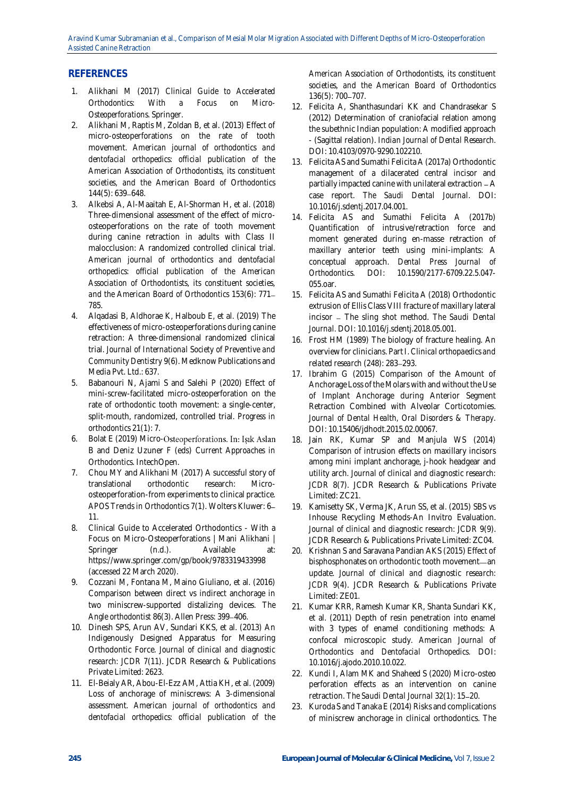# **REFERENCES**

- 1. [Alikhani M \(2017\)](http://paperpile.com/b/9H8rM9/mOnD) *[Clinical Guide to Accelerated](http://paperpile.com/b/9H8rM9/mOnD)  [Orthodontics: With a Focus on Micro-](http://paperpile.com/b/9H8rM9/mOnD)[Osteoperforations](http://paperpile.com/b/9H8rM9/mOnD)*[. Springer.](http://paperpile.com/b/9H8rM9/mOnD)
- 2. [Alikhani M, Raptis M, Zoldan B, et al. \(2013\) Effect of](http://paperpile.com/b/9H8rM9/Il5q)  [micro-osteoperforations on the rate of tooth](http://paperpile.com/b/9H8rM9/Il5q)  [movement.](http://paperpile.com/b/9H8rM9/Il5q) *[American journal of orthodontics and](http://paperpile.com/b/9H8rM9/Il5q)  [dentofacial orthopedics: official publication of the](http://paperpile.com/b/9H8rM9/Il5q)  [American Association of Orthodontists, its constituent](http://paperpile.com/b/9H8rM9/Il5q)  [societies, and the American Board of Orthodontics](http://paperpile.com/b/9H8rM9/Il5q)*  $144(5)$ : 639-648.
- 3. [Alkebsi A, Al-Maaitah E, Al-Shorman H, et al. \(2018\)](http://paperpile.com/b/9H8rM9/XdF0)  [Three-dimensional assessment of the effect of micro](http://paperpile.com/b/9H8rM9/XdF0)[osteoperforations on the rate of tooth movement](http://paperpile.com/b/9H8rM9/XdF0)  [during canine retraction in adults with Class II](http://paperpile.com/b/9H8rM9/XdF0)  [malocclusion: A randomized controlled clinical trial.](http://paperpile.com/b/9H8rM9/XdF0)  *[American journal of orthodontics and dentofacial](http://paperpile.com/b/9H8rM9/XdF0)  [orthopedics: official publication of the American](http://paperpile.com/b/9H8rM9/XdF0)  [Association of Orthodontists, its constituent societies,](http://paperpile.com/b/9H8rM9/XdF0)  [and the American Board of Orthodontics](http://paperpile.com/b/9H8rM9/XdF0)* [153\(6\): 771](http://paperpile.com/b/9H8rM9/XdF0) [785.](http://paperpile.com/b/9H8rM9/XdF0)
- 4. [Alqadasi B, Aldhorae K, Halboub E, et al. \(2019\) The](http://paperpile.com/b/9H8rM9/c4tp)  [effectiveness of micro-osteoperforations during canine](http://paperpile.com/b/9H8rM9/c4tp)  [retraction: A three-dimensional randomized clinical](http://paperpile.com/b/9H8rM9/c4tp)  [trial.](http://paperpile.com/b/9H8rM9/c4tp) *[Journal of International Society of Preventive and](http://paperpile.com/b/9H8rM9/c4tp)  [Community Dentistry](http://paperpile.com/b/9H8rM9/c4tp)* [9\(6\). Medknow Publications and](http://paperpile.com/b/9H8rM9/c4tp)  [Media Pvt. Ltd.: 637.](http://paperpile.com/b/9H8rM9/c4tp)
- 5. [Babanouri N, Ajami S and Salehi P \(2020\) Effect of](http://paperpile.com/b/9H8rM9/cP2b)  [mini-screw-facilitated micro-osteoperforation on the](http://paperpile.com/b/9H8rM9/cP2b)  [rate of orthodontic tooth movement: a single-center,](http://paperpile.com/b/9H8rM9/cP2b)  [split-mouth, randomized, controlled trial.](http://paperpile.com/b/9H8rM9/cP2b) *[Progress in](http://paperpile.com/b/9H8rM9/cP2b)  [orthodontics](http://paperpile.com/b/9H8rM9/cP2b)* [21\(1\): 7.](http://paperpile.com/b/9H8rM9/cP2b)
- 6. Bolat E (2019) Micro-Osteoperforations. In: Işık Aslan [B and Deniz Uzuner F \(eds\)](http://paperpile.com/b/9H8rM9/UlNy) *[Current Approaches in](http://paperpile.com/b/9H8rM9/UlNy)  [Orthodontics](http://paperpile.com/b/9H8rM9/UlNy)*[. IntechOpen.](http://paperpile.com/b/9H8rM9/UlNy)
- 7. [Chou MY and Alikhani M \(2017\) A successful story of](http://paperpile.com/b/9H8rM9/uDHU)  [translational orthodontic research: Micro](http://paperpile.com/b/9H8rM9/uDHU)[osteoperforation-from experiments to clinical practice.](http://paperpile.com/b/9H8rM9/uDHU)  *[APOS Trends in Orthodontics](http://paperpile.com/b/9H8rM9/uDHU)* [7\(1\). Wolters Kluwer: 6](http://paperpile.com/b/9H8rM9/uDHU) [11.](http://paperpile.com/b/9H8rM9/uDHU)
- 8. [Clinical Guide to Accelerated Orthodontics -](http://paperpile.com/b/9H8rM9/S10s) With a [Focus on Micro-Osteoperforations | Mani Alikhani |](http://paperpile.com/b/9H8rM9/S10s)  Springer (n.d.). Available at: <https://www.springer.com/gp/book/9783319433998> [\(accessed 22 March 2020\).](http://paperpile.com/b/9H8rM9/S10s)
- 9. [Cozzani M, Fontana M, Maino Giuliano, et al. \(2016\)](http://paperpile.com/b/9H8rM9/4IZI)  [Comparison between direct vs indirect anchorage in](http://paperpile.com/b/9H8rM9/4IZI)  [two miniscrew-supported distalizing devices.](http://paperpile.com/b/9H8rM9/4IZI) *[The](http://paperpile.com/b/9H8rM9/4IZI)  [Angle orthodontist](http://paperpile.com/b/9H8rM9/4IZI)* [86\(3\). Allen Press: 399](http://paperpile.com/b/9H8rM9/4IZI) 406.
- 10. [Dinesh SPS, Arun AV, Sundari KKS, et al. \(2013\) An](http://paperpile.com/b/9H8rM9/A9Fy)  [Indigenously Designed Apparatus for Measuring](http://paperpile.com/b/9H8rM9/A9Fy)  [Orthodontic Force.](http://paperpile.com/b/9H8rM9/A9Fy) *[Journal of clinical and diagnostic](http://paperpile.com/b/9H8rM9/A9Fy)  [research: JCDR](http://paperpile.com/b/9H8rM9/A9Fy)* [7\(11\). JCDR Research & Publications](http://paperpile.com/b/9H8rM9/A9Fy)  [Private Limited: 2623.](http://paperpile.com/b/9H8rM9/A9Fy)
- 11. [El-Beialy AR, Abou-El-Ezz AM, Attia KH, et al. \(2009\)](http://paperpile.com/b/9H8rM9/wos7)  [Loss of anchorage of miniscrews: A 3-dimensional](http://paperpile.com/b/9H8rM9/wos7)  [assessment.](http://paperpile.com/b/9H8rM9/wos7) *[American journal of orthodontics and](http://paperpile.com/b/9H8rM9/wos7)  [dentofacial orthopedics: official publication of the](http://paperpile.com/b/9H8rM9/wos7)*

*[American Association of Orthodontists, its constituent](http://paperpile.com/b/9H8rM9/wos7)  [societies, and the American Board of Orthodontics](http://paperpile.com/b/9H8rM9/wos7)* [136\(5\): 700](http://paperpile.com/b/9H8rM9/wos7)-707.

- 12. [Felicita A, Shanthasundari KK and Chandrasekar S](http://paperpile.com/b/9H8rM9/bERo)  [\(2012\) Determination of craniofacial relation among](http://paperpile.com/b/9H8rM9/bERo)  [the subethnic Indian population: A modified approach](http://paperpile.com/b/9H8rM9/bERo)  - [\(Sagittal relation\).](http://paperpile.com/b/9H8rM9/bERo) *[Indian Journal of Dental Research](http://paperpile.com/b/9H8rM9/bERo)*[.](http://paperpile.com/b/9H8rM9/bERo)  [DOI: 10.4103/0970-9290.102210.](http://paperpile.com/b/9H8rM9/bERo)
- 13. [Felicita AS and Sumathi Felicita A \(2017a\) Orthodontic](http://paperpile.com/b/9H8rM9/GWMB)  [management of a dilacerated central incisor and](http://paperpile.com/b/9H8rM9/GWMB)  partially impacted canine with unilateral extraction - A [case report.](http://paperpile.com/b/9H8rM9/GWMB) *[The Saudi Dental Journal](http://paperpile.com/b/9H8rM9/GWMB)*[. DOI:](http://paperpile.com/b/9H8rM9/GWMB)  [10.1016/j.sdentj.2017.04.001.](http://dx.doi.org/10.1016/j.sdentj.2017.04.001)
- 14. [Felicita AS and Sumathi Felicita A \(2017b\)](http://paperpile.com/b/9H8rM9/eHhi)  [Quantification of intrusive/retraction force and](http://paperpile.com/b/9H8rM9/eHhi)  [moment generated during en-masse retraction of](http://paperpile.com/b/9H8rM9/eHhi)  [maxillary anterior teeth using mini-implants: A](http://paperpile.com/b/9H8rM9/eHhi)  [conceptual approach.](http://paperpile.com/b/9H8rM9/eHhi) *[Dental Press Journal of](http://paperpile.com/b/9H8rM9/eHhi)  [Orthodontics](http://paperpile.com/b/9H8rM9/eHhi)*[. DOI:](http://paperpile.com/b/9H8rM9/eHhi) [10.1590/2177-6709.22.5.047-](http://dx.doi.org/10.1590/2177-6709.22.5.047-055.oar) [055.oar](http://dx.doi.org/10.1590/2177-6709.22.5.047-055.oar)[.](http://paperpile.com/b/9H8rM9/eHhi)
- 15. [Felicita AS and Sumathi Felicita A \(2018\) Orthodontic](http://paperpile.com/b/9H8rM9/XFku)  [extrusion of Ellis Class VIII fracture of maxillary lateral](http://paperpile.com/b/9H8rM9/XFku)  incisor - The sling shot method. The Saudi Dental *[Journal](http://paperpile.com/b/9H8rM9/XFku)*[. DOI:](http://paperpile.com/b/9H8rM9/XFku) [10.1016/j.sdentj.2018.05.001.](http://dx.doi.org/10.1016/j.sdentj.2018.05.001)
- 16. [Frost HM \(1989\) The biology of fracture healing. An](http://paperpile.com/b/9H8rM9/U2ho)  [overview for clinicians. Part I.](http://paperpile.com/b/9H8rM9/U2ho) *[Clinical orthopaedics and](http://paperpile.com/b/9H8rM9/U2ho)  [related research](http://paperpile.com/b/9H8rM9/U2ho)* [\(248\): 283](http://paperpile.com/b/9H8rM9/U2ho)-293.
- 17. [Ibrahim G \(2015\) Comparison of the Amount of](http://paperpile.com/b/9H8rM9/BoZb)  [Anchorage Loss of the Molars with and without the Use](http://paperpile.com/b/9H8rM9/BoZb)  [of Implant Anchorage during Anterior Segment](http://paperpile.com/b/9H8rM9/BoZb)  [Retraction Combined with Alveolar Corticotomies.](http://paperpile.com/b/9H8rM9/BoZb)  *[Journal of Dental Health, Oral Disorders & Therapy](http://paperpile.com/b/9H8rM9/BoZb)*[.](http://paperpile.com/b/9H8rM9/BoZb)  [DOI: 10.15406/jdhodt.2015.02.00067.](http://paperpile.com/b/9H8rM9/BoZb)
- 18. [Jain RK, Kumar SP and Manjula WS \(2014\)](http://paperpile.com/b/9H8rM9/i5ec)  [Comparison of intrusion effects on maxillary incisors](http://paperpile.com/b/9H8rM9/i5ec)  [among mini implant anchorage, j-hook headgear and](http://paperpile.com/b/9H8rM9/i5ec)  [utility arch.](http://paperpile.com/b/9H8rM9/i5ec) *[Journal of clinical and diagnostic research:](http://paperpile.com/b/9H8rM9/i5ec) [JCDR](http://paperpile.com/b/9H8rM9/i5ec)* [8\(7\). JCDR Research & Publications Private](http://paperpile.com/b/9H8rM9/i5ec)  [Limited: ZC21.](http://paperpile.com/b/9H8rM9/i5ec)
- 19. [Kamisetty SK, Verma JK, Arun SS, et al. \(2015\) SBS vs](http://paperpile.com/b/9H8rM9/DtRd)  [Inhouse Recycling Methods-An Invitro Evaluation.](http://paperpile.com/b/9H8rM9/DtRd)  *[Journal of clinical and diagnostic research: JCDR](http://paperpile.com/b/9H8rM9/DtRd)* [9\(9\).](http://paperpile.com/b/9H8rM9/DtRd)  [JCDR Research & Publications Private Limited: ZC04.](http://paperpile.com/b/9H8rM9/DtRd)
- 20. [Krishnan S and Saravana Pandian AKS \(2015\) Effect of](http://paperpile.com/b/9H8rM9/7myf)  [bisphosphonates on orthodontic tooth movement](http://paperpile.com/b/9H8rM9/7myf)-an [update.](http://paperpile.com/b/9H8rM9/7myf) *[Journal of clinical and diagnostic research:](http://paperpile.com/b/9H8rM9/7myf)  [JCDR](http://paperpile.com/b/9H8rM9/7myf)* [9\(4\). JCDR Research & Publications Private](http://paperpile.com/b/9H8rM9/7myf)  [Limited: ZE01.](http://paperpile.com/b/9H8rM9/7myf)
- 21. [Kumar KRR, Ramesh Kumar KR, Shanta Sundari KK,](http://paperpile.com/b/9H8rM9/yRla)  [et al. \(2011\) Depth of resin penetration into enamel](http://paperpile.com/b/9H8rM9/yRla)  [with 3 types of enamel conditioning methods: A](http://paperpile.com/b/9H8rM9/yRla)  [confocal microscopic study.](http://paperpile.com/b/9H8rM9/yRla) *[American Journal of](http://paperpile.com/b/9H8rM9/yRla)  [Orthodontics and Dentofacial Orthopedics](http://paperpile.com/b/9H8rM9/yRla)*[. DOI:](http://paperpile.com/b/9H8rM9/yRla)  [10.1016/j.ajodo.2010.10.022.](http://dx.doi.org/10.1016/j.ajodo.2010.10.022)
- 22. [Kundi I, Alam MK and Shaheed S \(2020\) Micro-osteo](http://paperpile.com/b/9H8rM9/4c12)  [perforation effects as an intervention on canine](http://paperpile.com/b/9H8rM9/4c12)  [retraction.](http://paperpile.com/b/9H8rM9/4c12) [The Saudi Dental Journal](http://paperpile.com/b/9H8rM9/4c12) [32\(1\): 15](http://paperpile.com/b/9H8rM9/4c12)-20.
- 23. [Kuroda S and Tanaka E \(2014\) Risks and complications](http://paperpile.com/b/9H8rM9/iXe9)  [of miniscrew anchorage in clinical orthodontics.](http://paperpile.com/b/9H8rM9/iXe9) *[The](http://paperpile.com/b/9H8rM9/iXe9)*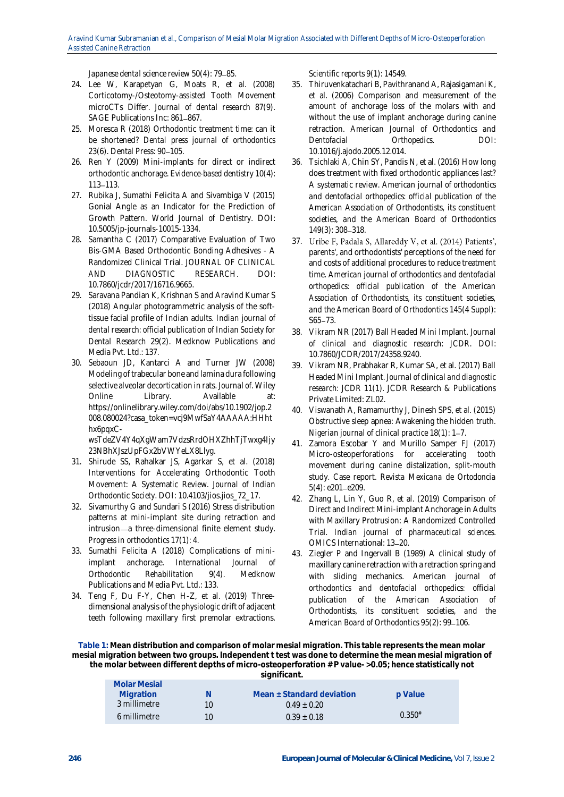[Japanese dental science review](http://paperpile.com/b/9H8rM9/iXe9) [50\(4\): 79](http://paperpile.com/b/9H8rM9/iXe9)-85.

- 24. [Lee W, Karapetyan G, Moats R, et al. \(2008\)](http://paperpile.com/b/9H8rM9/Fg8e)  [Corticotomy-/Osteotomy-assisted Tooth Movement](http://paperpile.com/b/9H8rM9/Fg8e)  [microCTs Differ.](http://paperpile.com/b/9H8rM9/Fg8e) *[Journal of dental research](http://paperpile.com/b/9H8rM9/Fg8e)* [87\(9\).](http://paperpile.com/b/9H8rM9/Fg8e)  [SAGE Publications Inc: 861](http://paperpile.com/b/9H8rM9/Fg8e)-867.
- 25. [Moresca R \(2018\) Orthodontic treatment time: can it](http://paperpile.com/b/9H8rM9/AaCf)  [be shortened?](http://paperpile.com/b/9H8rM9/AaCf) *[Dental press journal of orthodontics](http://paperpile.com/b/9H8rM9/AaCf)* [23\(6\). Dental Press: 90](http://paperpile.com/b/9H8rM9/AaCf)-105.
- 26. [Ren Y \(2009\) Mini-implants for](http://paperpile.com/b/9H8rM9/blUz) direct or indirect [orthodontic anchorage.](http://paperpile.com/b/9H8rM9/blUz) *[Evidence-based dentistry](http://paperpile.com/b/9H8rM9/blUz)* [10\(4\):](http://paperpile.com/b/9H8rM9/blUz)  113 - [113.](http://paperpile.com/b/9H8rM9/blUz)
- 27. Rubika J, Sumathi Felicita A and Sivambiga V (2015) [Gonial Angle as an Indicator for the Prediction of](http://paperpile.com/b/9H8rM9/M1nX)  [Growth Pattern.](http://paperpile.com/b/9H8rM9/M1nX) *[World Journal of Dentistry](http://paperpile.com/b/9H8rM9/M1nX)*[. DOI:](http://paperpile.com/b/9H8rM9/M1nX)  [10.5005/jp-journals-10015-1334.](http://dx.doi.org/10.5005/jp-journals-10015-1334)
- 28. [Samantha C \(2017\) Comparative Evaluation of Two](http://paperpile.com/b/9H8rM9/lsgG)  [Bis-GMA Based Orthodontic Bonding Adhesives -](http://paperpile.com/b/9H8rM9/lsgG) A [Randomized Clinical Trial.](http://paperpile.com/b/9H8rM9/lsgG) *[JOURNAL OF CLINICAL](http://paperpile.com/b/9H8rM9/lsgG)  [AND DIAGNOSTIC RESEARCH](http://paperpile.com/b/9H8rM9/lsgG)*[. DOI:](http://paperpile.com/b/9H8rM9/lsgG)  [10.7860/jcdr/2017/16716.9665.](http://dx.doi.org/10.7860/jcdr/2017/16716.9665)
- 29. [Saravana Pandian K, Krishnan S and Aravind Kumar S](http://paperpile.com/b/9H8rM9/WXXn)  [\(2018\) Angular photogrammetric analysis of the soft](http://paperpile.com/b/9H8rM9/WXXn)[tissue facial profile of Indian adults.](http://paperpile.com/b/9H8rM9/WXXn) *[Indian journal of](http://paperpile.com/b/9H8rM9/WXXn)  [dental research: official publication of Indian Society for](http://paperpile.com/b/9H8rM9/WXXn)  [Dental Research](http://paperpile.com/b/9H8rM9/WXXn)* [29\(2\). Medknow Publications and](http://paperpile.com/b/9H8rM9/WXXn)  [Media Pvt. Ltd.: 137.](http://paperpile.com/b/9H8rM9/WXXn)
- 30. [Sebaoun JD, Kantarci A and Turner JW \(2008\)](http://paperpile.com/b/9H8rM9/3SJ0)  [Modeling of trabecular bone and lamina dura following](http://paperpile.com/b/9H8rM9/3SJ0)  [selective alveolar decortication in rats.](http://paperpile.com/b/9H8rM9/3SJ0) *[Journal of](http://paperpile.com/b/9H8rM9/3SJ0)*[. Wiley](http://paperpile.com/b/9H8rM9/3SJ0)  [Online Library. Available at:](http://paperpile.com/b/9H8rM9/3SJ0)  [https://onlinelibrary.wiley.com/doi/abs/10.1902/jop.2](https://onlinelibrary.wiley.com/doi/abs/10.1902/jop.2008.080024?casa_token=vcj9MwfSaY4AAAAA:HHhthx6pqxC-wsTdeZV4Y4qXgWam7VdzsRrdOHXZhhTjTwxg4Ijy23NBhXJszUpFGx2bVWYeLX8Llyg) [008.080024?casa\\_token=vcj9MwfSaY4AAAAA:HHht](https://onlinelibrary.wiley.com/doi/abs/10.1902/jop.2008.080024?casa_token=vcj9MwfSaY4AAAAA:HHhthx6pqxC-wsTdeZV4Y4qXgWam7VdzsRrdOHXZhhTjTwxg4Ijy23NBhXJszUpFGx2bVWYeLX8Llyg) [hx6pqxC-](https://onlinelibrary.wiley.com/doi/abs/10.1902/jop.2008.080024?casa_token=vcj9MwfSaY4AAAAA:HHhthx6pqxC-wsTdeZV4Y4qXgWam7VdzsRrdOHXZhhTjTwxg4Ijy23NBhXJszUpFGx2bVWYeLX8Llyg)

[wsTdeZV4Y4qXgWam7VdzsRrdOHXZhhTjTwxg4Ijy](https://onlinelibrary.wiley.com/doi/abs/10.1902/jop.2008.080024?casa_token=vcj9MwfSaY4AAAAA:HHhthx6pqxC-wsTdeZV4Y4qXgWam7VdzsRrdOHXZhhTjTwxg4Ijy23NBhXJszUpFGx2bVWYeLX8Llyg) [23NBhXJszUpFGx2bVWYeLX8Llyg.](https://onlinelibrary.wiley.com/doi/abs/10.1902/jop.2008.080024?casa_token=vcj9MwfSaY4AAAAA:HHhthx6pqxC-wsTdeZV4Y4qXgWam7VdzsRrdOHXZhhTjTwxg4Ijy23NBhXJszUpFGx2bVWYeLX8Llyg)

- 31. [Shirude SS, Rahalkar JS, Agarkar S, et al. \(2018\)](http://paperpile.com/b/9H8rM9/Gn1N)  [Interventions for Accelerating Orthodontic Tooth](http://paperpile.com/b/9H8rM9/Gn1N)  [Movement: A Systematic Review.](http://paperpile.com/b/9H8rM9/Gn1N) *[Journal of Indian](http://paperpile.com/b/9H8rM9/Gn1N)  [Orthodontic Society](http://paperpile.com/b/9H8rM9/Gn1N)*[. DOI:](http://paperpile.com/b/9H8rM9/Gn1N) [10.4103/jios.jios\\_72\\_17.](http://dx.doi.org/10.4103/jios.jios_72_17)
- 32. [Sivamurthy G and Sundari S \(2016\) Stress distribution](http://paperpile.com/b/9H8rM9/pOb8)  [patterns at mini-implant site during retraction and](http://paperpile.com/b/9H8rM9/pOb8)  intrusion-a three-dimensional finite element study. *[Progress in orthodontics](http://paperpile.com/b/9H8rM9/pOb8)* [17\(1\): 4.](http://paperpile.com/b/9H8rM9/pOb8)
- 33. [Sumathi Felicita A \(2018\) Complications of mini](http://paperpile.com/b/9H8rM9/IG07)[implant anchorage.](http://paperpile.com/b/9H8rM9/IG07) *[International Journal of](http://paperpile.com/b/9H8rM9/IG07)  [Orthodontic Rehabilitation](http://paperpile.com/b/9H8rM9/IG07)* [9\(4\). Medknow](http://paperpile.com/b/9H8rM9/IG07)  [Publications and Media Pvt. Ltd.: 133.](http://paperpile.com/b/9H8rM9/IG07)
- 34. [Teng F, Du F-Y, Chen H-Z, et al. \(2019\) Three](http://paperpile.com/b/9H8rM9/HhO7)[dimensional analysis of the physiologic drift of adjacent](http://paperpile.com/b/9H8rM9/HhO7)  [teeth following maxillary first premolar extractions.](http://paperpile.com/b/9H8rM9/HhO7)

*[Scientific reports](http://paperpile.com/b/9H8rM9/HhO7)* [9\(1\): 14549.](http://paperpile.com/b/9H8rM9/HhO7)

- 35. [Thiruvenkatachari B, Pavithranand A, Rajasigamani K,](http://paperpile.com/b/9H8rM9/nm3K)  [et al. \(2006\) Comparison and measurement of the](http://paperpile.com/b/9H8rM9/nm3K)  [amount of anchorage loss of the molars with and](http://paperpile.com/b/9H8rM9/nm3K)  [without the use of implant anchorage during canine](http://paperpile.com/b/9H8rM9/nm3K)  [retraction.](http://paperpile.com/b/9H8rM9/nm3K) *[American Journal of Orthodontics and](http://paperpile.com/b/9H8rM9/nm3K)  [Dentofacial Orthopedics](http://paperpile.com/b/9H8rM9/nm3K)*[. DOI:](http://paperpile.com/b/9H8rM9/nm3K)  [10.1016/j.ajodo.2005.12.014.](http://dx.doi.org/10.1016/j.ajodo.2005.12.014)
- 36. [Tsichlaki A, Chin SY, Pandis N, et al. \(2016\) How long](http://paperpile.com/b/9H8rM9/e8Jg)  [does treatment with fixed orthodontic appliances last?](http://paperpile.com/b/9H8rM9/e8Jg)  [A systematic review.](http://paperpile.com/b/9H8rM9/e8Jg) *[American journal of orthodontics](http://paperpile.com/b/9H8rM9/e8Jg)  [and dentofacial orthopedics: official publication of the](http://paperpile.com/b/9H8rM9/e8Jg)  [American Association of Orthodontists, its constituent](http://paperpile.com/b/9H8rM9/e8Jg)  [societies, and the American Board of Orthodontics](http://paperpile.com/b/9H8rM9/e8Jg)* [149\(3\): 308](http://paperpile.com/b/9H8rM9/e8Jg)-318.
- [37.](http://paperpile.com/b/9H8rM9/5uid) Uribe F, Padala S, Allareddy V, et al. (2014) Patients', [parents', and orthodontists' perceptions of the need for](http://paperpile.com/b/9H8rM9/5uid)  [and costs of additional procedures to reduce treatment](http://paperpile.com/b/9H8rM9/5uid)  [time.](http://paperpile.com/b/9H8rM9/5uid) *[American journal of orthodontics and dentofacial](http://paperpile.com/b/9H8rM9/5uid)  [orthopedics: official publication of the American](http://paperpile.com/b/9H8rM9/5uid)  [Association of Orthodontists, its constituent societies,](http://paperpile.com/b/9H8rM9/5uid)  [and the American Board of Orthodontics](http://paperpile.com/b/9H8rM9/5uid)* [145\(4 Suppl\):](http://paperpile.com/b/9H8rM9/5uid)   $S65 - 73.$  $S65 - 73.$
- 38. [Vikram NR \(2017\) Ball Headed Mini Implant.](http://paperpile.com/b/9H8rM9/4VnL) *[Journal](http://paperpile.com/b/9H8rM9/4VnL)  [of clinical and diagnostic research: JCDR](http://paperpile.com/b/9H8rM9/4VnL)*[. DOI:](http://paperpile.com/b/9H8rM9/4VnL)  [10.7860/JCDR/2017/24358.9240.](http://dx.doi.org/10.7860/JCDR/2017/24358.9240)
- 39. [Vikram NR, Prabhakar R, Kumar SA, et al. \(2017\) Ball](http://paperpile.com/b/9H8rM9/MBOH)  [Headed Mini Implant.](http://paperpile.com/b/9H8rM9/MBOH) *[Journal of clinical and diagnostic](http://paperpile.com/b/9H8rM9/MBOH)  [research: JCDR](http://paperpile.com/b/9H8rM9/MBOH)* [11\(1\). JCDR Research & Publications](http://paperpile.com/b/9H8rM9/MBOH)  [Private Limited: ZL02.](http://paperpile.com/b/9H8rM9/MBOH)
- 40. [Viswanath A, Ramamurthy J, Dinesh SPS, et al. \(2015\)](http://paperpile.com/b/9H8rM9/4ZdH)  [Obstructive sleep apnea: Awakening the hidden truth.](http://paperpile.com/b/9H8rM9/4ZdH)  *[Nigerian journal of clinical practice](http://paperpile.com/b/9H8rM9/4ZdH)* [18\(1\): 1](http://paperpile.com/b/9H8rM9/4ZdH)-7.
- 41. [Zamora Escobar Y and Murillo Samper FJ \(2017\)](http://paperpile.com/b/9H8rM9/LS42)  [Micro-osteoperforations for accelerating tooth](http://paperpile.com/b/9H8rM9/LS42)  [movement during canine distalization, split-mouth](http://paperpile.com/b/9H8rM9/LS42)  [study. Case report.](http://paperpile.com/b/9H8rM9/LS42) *[Revista Mexicana de Ortodoncia](http://paperpile.com/b/9H8rM9/LS42)*  $5(4)$ : e201-e209.
- 42. [Zhang L, Lin Y, Guo R, et al. \(2019\) Comparison of](http://paperpile.com/b/9H8rM9/cHY6)  [Direct and Indirect Mini-implant Anchorage in Adults](http://paperpile.com/b/9H8rM9/cHY6)  [with Maxillary Protrusion: A Randomized Controlled](http://paperpile.com/b/9H8rM9/cHY6)  [Trial.](http://paperpile.com/b/9H8rM9/cHY6) *[Indian journal of pharmaceutical sciences](http://paperpile.com/b/9H8rM9/cHY6)*[.](http://paperpile.com/b/9H8rM9/cHY6)  [OMICS International: 13](http://paperpile.com/b/9H8rM9/cHY6)-20.
- 43. [Ziegler P and Ingervall B \(1989\) A clinical study of](http://paperpile.com/b/9H8rM9/UNn8)  [maxillary canine retraction with a retraction spring and](http://paperpile.com/b/9H8rM9/UNn8)  [with sliding mechanics.](http://paperpile.com/b/9H8rM9/UNn8) *[American journal of](http://paperpile.com/b/9H8rM9/UNn8)  [orthodontics and dentofacial orthopedics: official](http://paperpile.com/b/9H8rM9/UNn8)  [publication of the American Association of](http://paperpile.com/b/9H8rM9/UNn8)  [Orthodontists, its constituent societies, and the](http://paperpile.com/b/9H8rM9/UNn8)* [American Board of Orthodontics](http://paperpile.com/b/9H8rM9/UNn8) [95\(2\): 99](http://paperpile.com/b/9H8rM9/UNn8)-106.

**Table 1: Mean distribution and comparison of molar mesial migration. This table represents the mean molar mesial migration between two groups. Independent t test was done to determine the mean mesial migration of the molar between different depths of micro-osteoperforation # P value- >0.05; hence statistically not significant.**

| Molar Mesial |                 |                           |          |
|--------------|-----------------|---------------------------|----------|
| Migration    | N.              | Mean + Standard deviation | p Value  |
| 3 millimetre | 10 <sup>1</sup> | $0.49 + 0.20$             |          |
| 6 millimetre | 10 <sup>1</sup> | $0.39 + 0.18$             | $0.350*$ |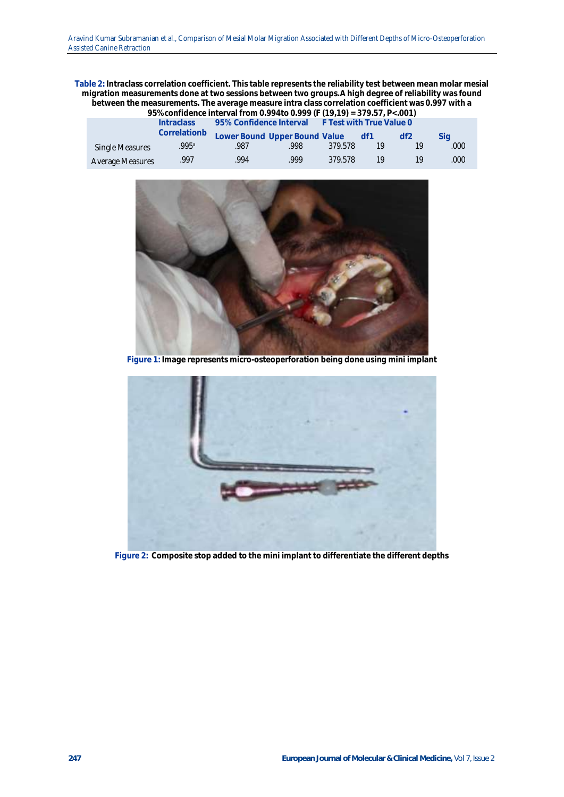**Table 2: Intraclass correlation coefficient. This table represents the reliability test between mean molar mesial migration measurements done at two sessions between two groups.A high degree of reliability was found between the measurements. The average measure intra class correlation coefficient was 0.997 with a** 

| 95% confidence interval from 0.994 to 0.999 (F (19,19) = 379.57, P<.001) |                                                                |                               |       |         |     |    |      |  |  |
|--------------------------------------------------------------------------|----------------------------------------------------------------|-------------------------------|-------|---------|-----|----|------|--|--|
|                                                                          | 95% Confidence Interval F Test with True Value 0<br>Intraclass |                               |       |         |     |    |      |  |  |
|                                                                          | Correlationb                                                   | Lower Bound Upper Bound Value |       |         | df1 | df | Sia  |  |  |
| Single Measures                                                          | .995ª                                                          | .987                          | .998. | 379.578 | 19  | 1Q | .000 |  |  |
| Average Measures                                                         | 997                                                            | 994                           | 999   | 379.578 | 19  |    | .000 |  |  |



**Figure 1: Image represents micro-osteoperforation being done using mini implant**



**Figure 2: Composite stop added to the mini implant to differentiate the different depths**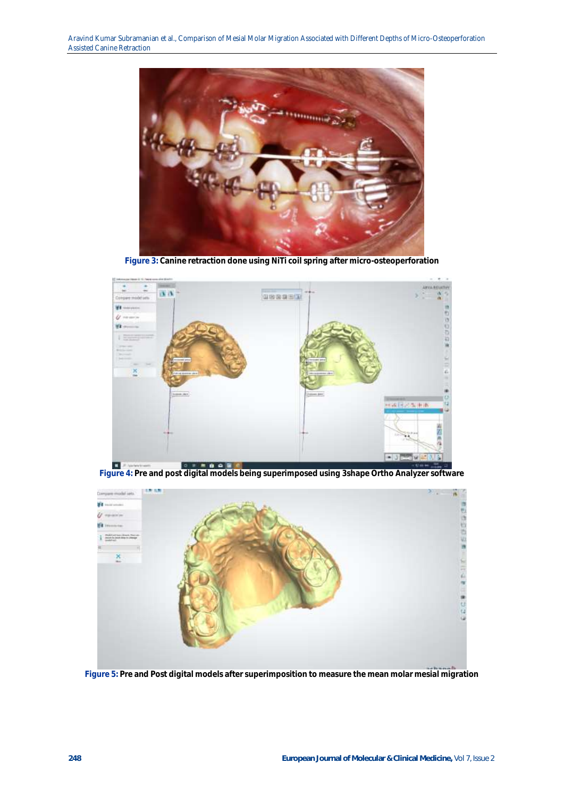Aravind Kumar Subramanian et al., Comparison of Mesial Molar Migration Associated with Different Depths of Micro-Osteoperforation Assisted Canine Retraction



**Figure 3: Canine retraction done using NiTi coil spring after micro-osteoperforation**



**Figure 4: Pre and post digital models being superimposed using 3shape Ortho Analyzer software**



**Figure 5: Pre and Post digital models after superimposition to measure the mean molar mesial migration**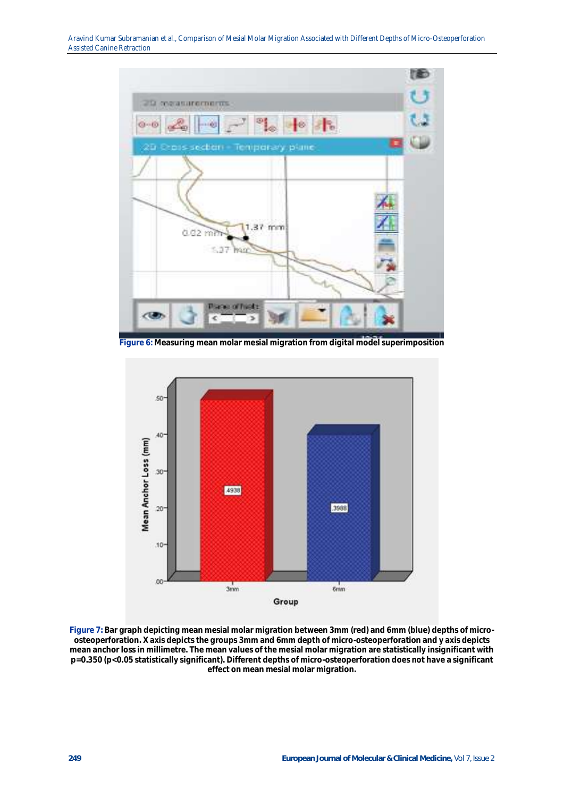Aravind Kumar Subramanian et al., Comparison of Mesial Molar Migration Associated with Different Depths of Micro-Osteoperforation Assisted Canine Retraction



**Figure 6: Measuring mean molar mesial migration from digital model superimposition**



**Figure 7: Bar graph depicting mean mesial molar migration between 3mm (red) and 6mm (blue) depths of microosteoperforation. X axis depicts the groups 3mm and 6mm depth of micro-osteoperforation and y axis depicts mean anchor loss in millimetre. The mean values of the mesial molar migration are statistically insignificant with p=0.350 (p<0.05 statistically significant). Different depths of micro-osteoperforation does not have a significant effect on mean mesial molar migration.**